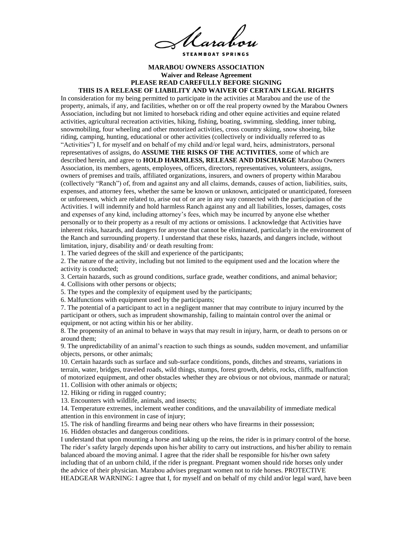**STEAMBOAT SPRINGS** 

## **MARABOU OWNERS ASSOCIATION Waiver and Release Agreement PLEASE READ CAREFULLY BEFORE SIGNING THIS IS A RELEASE OF LIABILITY AND WAIVER OF CERTAIN LEGAL RIGHTS**

In consideration for my being permitted to participate in the activities at Marabou and the use of the property, animals, if any, and facilities, whether on or off the real property owned by the Marabou Owners Association, including but not limited to horseback riding and other equine activities and equine related activities, agricultural recreation activities, hiking, fishing, boating, swimming, sledding, inner tubing, snowmobiling, four wheeling and other motorized activities, cross country skiing, snow shoeing, bike riding, camping, hunting, educational or other activities (collectively or individually referred to as "Activities") I, for myself and on behalf of my child and/or legal ward, heirs, administrators, personal representatives of assigns, do **ASSUME THE RISKS OF THE ACTIVITIES**, some of which are described herein, and agree to **HOLD HARMLESS, RELEASE AND DISCHARGE** Marabou Owners Association, its members, agents, employees, officers, directors, representatives, volunteers, assigns, owners of premises and trails, affiliated organizations, insurers, and owners of property within Marabou (collectively "Ranch") of, from and against any and all claims, demands, causes of action, liabilities, suits, expenses, and attorney fees, whether the same be known or unknown, anticipated or unanticipated, foreseen or unforeseen, which are related to, arise out of or are in any way connected with the participation of the Activities. I will indemnify and hold harmless Ranch against any and all liabilities, losses, damages, costs and expenses of any kind, including attorney's fees, which may be incurred by anyone else whether personally or to their property as a result of my actions or omissions. I acknowledge that Activities have inherent risks, hazards, and dangers for anyone that cannot be eliminated, particularly in the environment of the Ranch and surrounding property. I understand that these risks, hazards, and dangers include, without limitation, injury, disability and/ or death resulting from:

1. The varied degrees of the skill and experience of the participants;

2. The nature of the activity, including but not limited to the equipment used and the location where the activity is conducted;

3. Certain hazards, such as ground conditions, surface grade, weather conditions, and animal behavior;

4. Collisions with other persons or objects;

5. The types and the complexity of equipment used by the participants;

6. Malfunctions with equipment used by the participants;

7. The potential of a participant to act in a negligent manner that may contribute to injury incurred by the participant or others, such as imprudent showmanship, failing to maintain control over the animal or equipment, or not acting within his or her ability.

8. The propensity of an animal to behave in ways that may result in injury, harm, or death to persons on or around them;

9. The unpredictability of an animal's reaction to such things as sounds, sudden movement, and unfamiliar objects, persons, or other animals;

10. Certain hazards such as surface and sub-surface conditions, ponds, ditches and streams, variations in terrain, water, bridges, traveled roads, wild things, stumps, forest growth, debris, rocks, cliffs, malfunction of motorized equipment, and other obstacles whether they are obvious or not obvious, manmade or natural;

11. Collision with other animals or objects;

12. Hiking or riding in rugged country;

13. Encounters with wildlife, animals, and insects;

14. Temperature extremes, inclement weather conditions, and the unavailability of immediate medical attention in this environment in case of injury;

15. The risk of handling firearms and being near others who have firearms in their possession;

16. Hidden obstacles and dangerous conditions.

I understand that upon mounting a horse and taking up the reins, the rider is in primary control of the horse. The rider's safety largely depends upon his/her ability to carry out instructions, and his/her ability to remain balanced aboard the moving animal. I agree that the rider shall be responsible for his/her own safety including that of an unborn child, if the rider is pregnant. Pregnant women should ride horses only under the advice of their physician. Marabou advises pregnant women not to ride horses. PROTECTIVE HEADGEAR WARNING: I agree that I, for myself and on behalf of my child and/or legal ward, have been